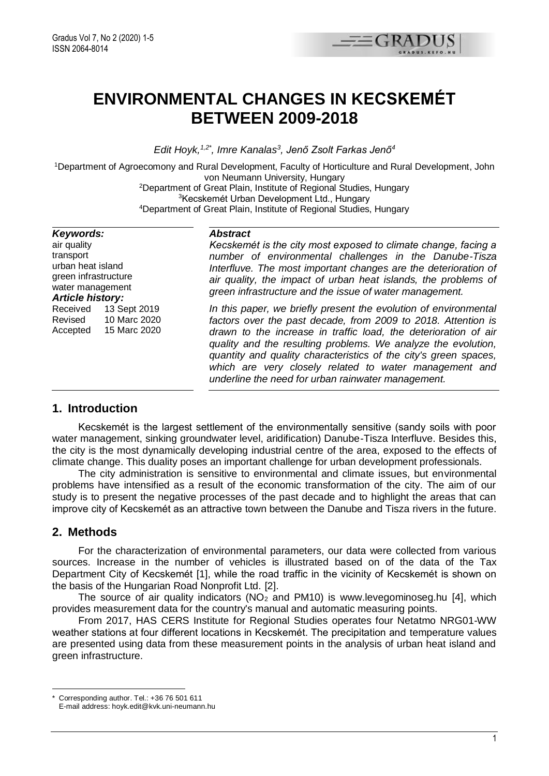

# **ENVIRONMENTAL CHANGES IN KECSKEMÉT BETWEEN 2009-2018**

*Edit Hoyk,1,2\* , Imre Kanalas<sup>3</sup> , Jenő Zsolt Farkas Jenő<sup>4</sup>*

<sup>1</sup>Department of Agroecomony and Rural Development, Faculty of Horticulture and Rural Development, John von Neumann University, Hungary

> <sup>2</sup>Department of Great Plain, Institute of Regional Studies, Hungary <sup>3</sup>Kecskemét Urban Development Ltd., Hungary <sup>4</sup>Department of Great Plain, Institute of Regional Studies, Hungary

#### *Keywords:*

air quality transport urban heat island green infrastructure water management *Article history:* Received 13 Sept 2019 Revised 10 Marc 2020 Accepted 15 Marc 2020

#### *Abstract*

*Kecskemét is the city most exposed to climate change, facing a number of environmental challenges in the Danube-Tisza Interfluve. The most important changes are the deterioration of air quality, the impact of urban heat islands, the problems of green infrastructure and the issue of water management.*

*In this paper, we briefly present the evolution of environmental factors over the past decade, from 2009 to 2018. Attention is drawn to the increase in traffic load, the deterioration of air quality and the resulting problems. We analyze the evolution, quantity and quality characteristics of the city's green spaces, which are very closely related to water management and underline the need for urban rainwater management.*

### **1. Introduction**

Kecskemét is the largest settlement of the environmentally sensitive (sandy soils with poor water management, sinking groundwater level, aridification) Danube-Tisza Interfluve. Besides this, the city is the most dynamically developing industrial centre of the area, exposed to the effects of climate change. This duality poses an important challenge for urban development professionals.

The city administration is sensitive to environmental and climate issues, but environmental problems have intensified as a result of the economic transformation of the city. The aim of our study is to present the negative processes of the past decade and to highlight the areas that can improve city of Kecskemét as an attractive town between the Danube and Tisza rivers in the future.

## **2. Methods**

For the characterization of environmental parameters, our data were collected from various sources. Increase in the number of vehicles is illustrated based on of the data of the Tax Department City of Kecskemét [1], while the road traffic in the vicinity of Kecskemét is shown on the basis of the Hungarian Road Nonprofit Ltd. [2].

The source of air quality indicators ( $NO<sub>2</sub>$  and PM10) is [www.levegominoseg.hu](http://www.levegominoseg.hu/) [4], which provides measurement data for the country's manual and automatic measuring points.

From 2017, HAS CERS Institute for Regional Studies operates four Netatmo NRG01-WW weather stations at four different locations in Kecskemét. The precipitation and temperature values are presented using data from these measurement points in the analysis of urban heat island and green infrastructure.

<sup>1</sup> Corresponding author. Tel.: +36 76 501 611

E-mail address: hoyk.edit@kvk.uni-neumann.hu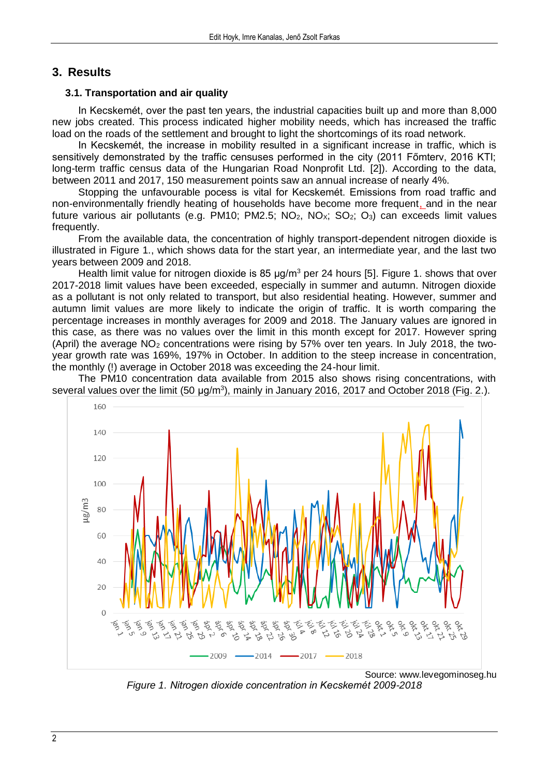## **3. Results**

#### **3.1. Transportation and air quality**

In Kecskemét, over the past ten years, the industrial capacities built up and more than 8,000 new jobs created. This process indicated higher mobility needs, which has increased the traffic load on the roads of the settlement and brought to light the shortcomings of its road network.

In Kecskemét, the increase in mobility resulted in a significant increase in traffic, which is sensitively demonstrated by the traffic censuses performed in the city (2011 Főmterv, 2016 KTI; long-term traffic census data of the Hungarian Road Nonprofit Ltd. [2]). According to the data, between 2011 and 2017, 150 measurement points saw an annual increase of nearly 4%.

Stopping the unfavourable pocess is vital for Kecskemét. Emissions from road traffic and non-environmentally friendly heating of households have become more frequent, and in the near future various air pollutants (e.g. PM10; PM2.5;  $NO<sub>2</sub>$ ,  $NO<sub>2</sub>$ ;  $SO<sub>2</sub>$ ;  $O<sub>3</sub>$ ) can exceeds limit values frequently.

From the available data, the concentration of highly transport-dependent nitrogen dioxide is illustrated in Figure 1., which shows data for the start year, an intermediate year, and the last two years between 2009 and 2018.

Health limit value for nitrogen dioxide is 85  $\mu$ g/m<sup>3</sup> per 24 hours [5]. Figure 1, shows that over 2017-2018 limit values have been exceeded, especially in summer and autumn. Nitrogen dioxide as a pollutant is not only related to transport, but also residential heating. However, summer and autumn limit values are more likely to indicate the origin of traffic. It is worth comparing the percentage increases in monthly averages for 2009 and 2018. The January values are ignored in this case, as there was no values over the limit in this month except for 2017. However spring (April) the average  $NO<sub>2</sub>$  concentrations were rising by 57% over ten years. In July 2018, the twoyear growth rate was 169%, 197% in October. In addition to the steep increase in concentration, the monthly (!) average in October 2018 was exceeding the 24-hour limit.

The PM10 concentration data available from 2015 also shows rising concentrations, with several values over the limit (50  $\mu$ g/m<sup>3</sup>), mainly in January 2016, 2017 and October 2018 (Fig. 2.).



*Figure 1. Nitrogen dioxide concentration in Kecskemét 2009-2018*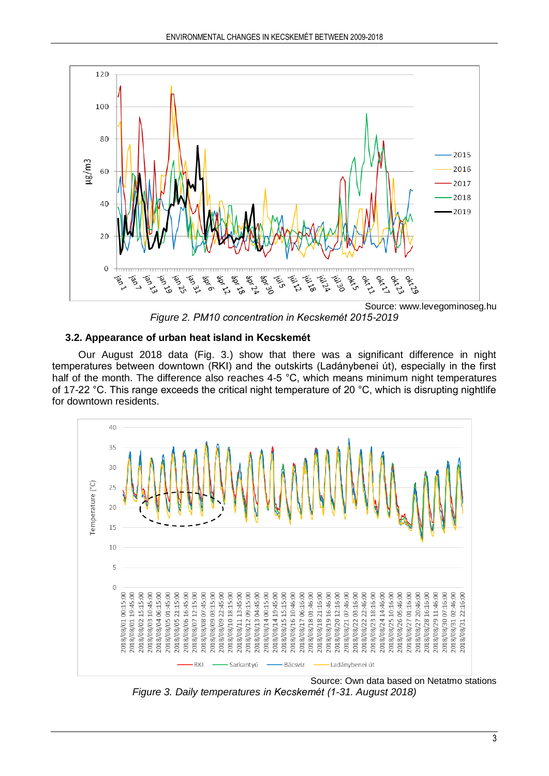

*Figure 2. PM10 concentration in Kecskemét 2015-2019*

## **3.2. Appearance of urban heat island in Kecskemét**

Our August 2018 data (Fig. 3.) show that there was a significant difference in night temperatures between downtown (RKI) and the outskirts (Ladánybenei út), especially in the first half of the month. The difference also reaches 4-5 °C, which means minimum night temperatures of 17-22 °C. This range exceeds the critical night temperature of 20 °C, which is disrupting nightlife for downtown residents.



*Figure 3. Daily temperatures in Kecskemét (1-31. August 2018)*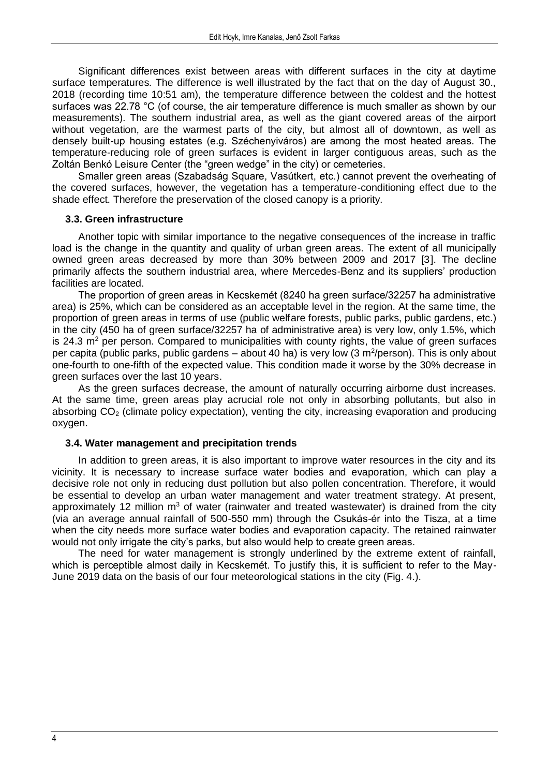Significant differences exist between areas with different surfaces in the city at daytime surface temperatures. The difference is well illustrated by the fact that on the day of August 30., 2018 (recording time 10:51 am), the temperature difference between the coldest and the hottest surfaces was 22.78 °C (of course, the air temperature difference is much smaller as shown by our measurements). The southern industrial area, as well as the giant covered areas of the airport without vegetation, are the warmest parts of the city, but almost all of downtown, as well as densely built-up housing estates (e.g. Széchenyiváros) are among the most heated areas. The temperature-reducing role of green surfaces is evident in larger contiguous areas, such as the Zoltán Benkó Leisure Center (the "green wedge" in the city) or cemeteries.

Smaller green areas (Szabadság Square, Vasútkert, etc.) cannot prevent the overheating of the covered surfaces, however, the vegetation has a temperature-conditioning effect due to the shade effect. Therefore the preservation of the closed canopy is a priority.

#### **3.3. Green infrastructure**

Another topic with similar importance to the negative consequences of the increase in traffic load is the change in the quantity and quality of urban green areas. The extent of all municipally owned green areas decreased by more than 30% between 2009 and 2017 [3]. The decline primarily affects the southern industrial area, where Mercedes-Benz and its suppliers' production facilities are located.

The proportion of green areas in Kecskemét (8240 ha green surface/32257 ha administrative area) is 25%, which can be considered as an acceptable level in the region. At the same time, the proportion of green areas in terms of use (public welfare forests, public parks, public gardens, etc.) in the city (450 ha of green surface/32257 ha of administrative area) is very low, only 1.5%, which is 24.3  $m<sup>2</sup>$  per person. Compared to municipalities with county rights, the value of green surfaces per capita (public parks, public gardens – about 40 ha) is very low (3 m<sup>2</sup>/person). This is only about one-fourth to one-fifth of the expected value. This condition made it worse by the 30% decrease in green surfaces over the last 10 years.

As the green surfaces decrease, the amount of naturally occurring airborne dust increases. At the same time, green areas play acrucial role not only in absorbing pollutants, but also in absorbing  $CO<sub>2</sub>$  (climate policy expectation), venting the city, increasing evaporation and producing oxygen.

#### **3.4. Water management and precipitation trends**

In addition to green areas, it is also important to improve water resources in the city and its vicinity. It is necessary to increase surface water bodies and evaporation, which can play a decisive role not only in reducing dust pollution but also pollen concentration. Therefore, it would be essential to develop an urban water management and water treatment strategy. At present, approximately 12 million  $m<sup>3</sup>$  of water (rainwater and treated wastewater) is drained from the city (via an average annual rainfall of 500-550 mm) through the Csukás-ér into the Tisza, at a time when the city needs more surface water bodies and evaporation capacity. The retained rainwater would not only irrigate the city's parks, but also would help to create green areas.

The need for water management is strongly underlined by the extreme extent of rainfall, which is perceptible almost daily in Kecskemét. To justify this, it is sufficient to refer to the May-June 2019 data on the basis of our four meteorological stations in the city (Fig. 4.).